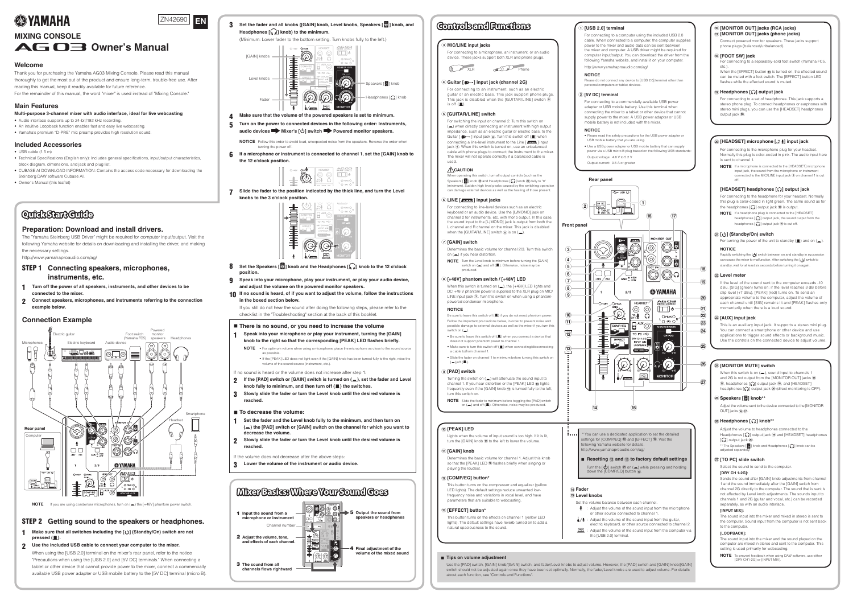**3** Set the fader and all knobs ([GAIN] knob, Level knobs, Speakers [8] knob, and **Headphones**  $\begin{bmatrix} \binom{n}{k} \end{bmatrix}$  knob) to the minimum. (Minimum: Lower fader to the bottom setting. Turn knobs fully to the left.)



- *Make sure that the volume of the powered speakers is set to minimum.*
- **5** Turn on the power to connected devices in the following order: Instruments, **.speakers audio devices**  $\rightarrow$  **Mixer's** [ $\cup$ ] **switch Powered monitor speakers**.

**NOTICE** Follow this order to avoid loud, unexpected noise from the speakers. Reverse the order when turning the power off.

**h** If a microphone or instrument is connected to channel 1, set the [GAIN] knob to **the 12 o'clock position.** 



**2** Slide the fader to the position indicated by the thick line, and turn the Level **knobs** to the 3 o'clock position.

# **QuidkStart Guide**

## **Preparation: Download and install drivers.**

The "Yamaha Steinberg USB Driver" might be required for computer input/output. Visit the following Yamaha website for details on downloading and installing the driver, and making the necessary settings.

http://www.yamahaproaudio.com/ag/

# **STEP 1** Connecting speakers, microphones, **instruments**, etc.

- **h 1** Turn off the power of all speakers, instruments, and other devices to be **the** mixer.
- **2** Connect speakers, microphones, and instruments referring to the connection example below.
- **clock'o <sup>12</sup> the to knob [ ] Headphones the and knob [ ] Speakers the Set** 8 **.position**
- **Speak into your microphone, play your instrument, or play your audio device, .speakers monitor powered the on volume the adjust and**
- **10** If no sound is heard, of if you want to adjust the volume, follow the instructions **jn the boxed section below**

If you still do not hear the sound after doing the following steps, please refer to the checklist in the "Troubleshooting" section at the back of this booklet.

## ■ There is no sound, or you need to increase the volume

**Speak into your microphone or play your instrument, turning the [GAIN] knob** to the right so that the corresponding [PEAK] LED flashes briefly. **NOTE** . For optimum volume when using a microphone, place the microphone as close to the sound source as possible

• If the [PEAK] LED does not light even if the [GAIN] knob has been turned fully to the right, raise the volume of the sound source (instrument, etc.)

If no sound is heard or the volume does not increase after step 1:



\* You can use a dedicated application to set the detailed  $t$ ettings for  $[COMP/EQ]$   $\Omega$  and  $[EFFECT]$   $\Omega$ . Visit the ollowing Yamaha website for details.

 $\blacksquare$  Resetting (12) and (13) to factory default settings Turn the  $[\bigcup]$  switch  $\alpha$  on ( $\Box$ ) while pressing and holding down the [COMP/EQ] button (12).

## $(14)$  Fader

## $(k)$  Level knobs

- Set the volume balance between each channel.
- or other source connected to channel 1.
- electric keyboard, or other source connected to channel 2.  $\mathbb{E}$  : Adjust the volume of the sound input from the computer via the [USB 2.0] terminal.

## $\hat{p}$  [MONITOR OUT] jacks (RCA jacks)  $\widehat{n}$  [MONITOR OUT] jacks (phone jacks)

Connect powered monitor speakers. These jacks support phone plugs (balanced/unbalanced).

## *J***8 [FOOT SW] jack**

For connecting to a separately-sold foot switch (Yamaha FC5, etc.).

When the [EFFECT] button (3) is turned on, the effected sound can be muted with a foot switch. The **[EFFECT]** button LED flashes while the effected sound is muted.

## $\Theta$  Headphones [ $\Omega$ ] output jack

For connecting to a set of headphones. This jack supports a stereo phone plug. To connect headphones or earphones with stereo mini plugs, you can use the [HEADSET] headphones output jack 20.

## **(20) [HEADSET]** microphone  $\begin{bmatrix} \begin{bmatrix} 10 \\ 011 \end{bmatrix} \end{bmatrix}$  input jack

For connecting to the microphone plug for your headset. Normally this plug is color-coded in pink. The audio input here is sent to channel 1.

**NOTE** If a microphone is connected to the [HEADSET] microphone input jack, the sound from the microphone or instrument connected to the MIC/LINE input jack 3 on channel 1 is cut off.

## **[HEADSET]** headphones  $\left[\Omega\right]$  output jack

For connecting to the headphone for your headset. Normally this plug is color-coded in light green. The same sound as for the headphones  $[$ ( $\Omega$ ) output jack  $\Theta$  is output.

**NOTE** If a headphone plug is connected to the [HEADSET] headphones  $[\widehat{\mathcal{A}}]$  output jack, the sound output from the headphones  $\left[\bigcap_{i=1}^{n} \right]$  output jack  $\left( \Theta \right)$  is cut off.

- **2** If the [PAD] switch or [GAIN] switch is turned on (=), set the fader and Level **knob** fully to minimum, and then turn off ( $\blacksquare$ ) the switches.
- **3** Slowly slide the fader or turn the Level knob until the desired volume is **.reached**

## ■ **To** decrease the volume:

- **Set the fader and the Level knob fully to the minimum, and then turn on**  $(\equiv)$  the [PAD] switch or [GAIN] switch on the channel for which you want to **.volume the decrease**
- **ish** Slowly slide the fader or turn the Level knob until the desired volume is **.reached**

If the volume does not decrease after the above steps

**3** Lower the volume of the instrument or audio device.

## **Welcome**

Thank you for purchasing the Yamaha AG03 Mixing Console. Please read this manual thoroughly to get the most out of the product and ensure long-term, trouble-free use. After reading this manual, keep it readily available for future reference. For the remainder of this manual, the word "mixer" is used instead of "Mixing Console."

# **Main Features**

**Multi-purpose 3-channel mixer with audio interface, ideal for live webcasting** 

- Audio interface supports up to 24-bit/192 kHz recording. • An intuitive Loopback function enables fast and easy live webcasting.
- Yamaha's premium "D-PRE" mic preamp provides high resolution sound.

## **Included Accessories**

- $\bullet$  USB cable (1.5 m)
- Technical Specifications (English only): Includes general specifications, input/output characteristics, block diagram, dimensions, and jack and plug list.
- CUBASE AI DOWNLOAD INFORMATION: Contains the access code necessary for downloading the Steinberg DAW software Cubase AI.
- Owner's Manual (this leaflet)

**NOTE** To prevent feedback when using DAW software, use either .[MIX INPUT [or] G1-2CH DRY[

 $\blacksquare$  Tips on volume adjustment

Use the [PAD] switch, [GAIN] knob/[GAIN] switch, and fader/Level knobs to adjust volume. However, the [PAD] switch and [GAIN] knob/[GAIN] switch should not be adjusted again once they have been set optimally. Normally, the fader/Level knobs are used to adjust volume. For details about each function, see "Controls and Functions".

ومحالا

1ttp://www.yamahaproaudio.com/ag/

- $\mathbf{\Psi}$  : Adjust the volume of the sound input from the microphone
- $\frac{1}{2}$ . Adjust the volume of the sound input from the guitar,

# **Example Connection**



NOTE If you are using condenser microphones, turn on (<sub>a</sub>) the [+48V] phantom power switch.

# **STEP 2** Getting sound to the speakers or headphones.

- **1** Make sure that all switches including the [ $\bigcup$ ] (Standby/On) switch are not **.(**N **(pressed**
- **2** Use the included USB cable to connect your computer to the mixer.
- When using the [USB 2.0] terminal on the mixer's rear panel, refer to the notice "Precautions when using the [USB 2.0] and [5V DC] terminals." When connecting a tablet or other device that cannot provide power to the mixer, connect a commercially available USB power adapter or USB mobile battery to the [5V DC] terminal (micro B).



**NOTE** Turn the Level knob to minimum before turning the [GAIN]<br>switch on (=) and off (■). Otherwise, noise may be .produced

## $\widehat{B}$  [+48V] phantom switch / [+48V] LED

When this switch is turned on  $($ , the  $[+48V]$  LED lights and DC +48 V phantom power is supplied to the XLR plug on MIC/ LINE input jack ③. Turn this switch on when using a phantom-<br>powered condenser microphone.

 to input sound the attenuate will) O (on switch the Turning channel 1. If you hear distortion or the  $[PEAK]$  LED  $\widehat{10}$  lights frequently even if the [GAIN] knob  $\widehat{u}$  is turned fully to the left, turn this switch on.

**NOTE** Slide the fader to minimum before toggling the [PAD] switch on  $(\blacksquare)$  and off  $(\blacksquare)$ . Otherwise, noise may be produced.

## **10** [PEAK] LED

Lights when the volume of input sound is too high. If it is lit, turn the [GAIN] knob  $\widehat{u}$  to the left to lower the volume.

## **(1)** [GAIN] knob

Determines the basic volume for channel 1. Adjust this knob so that the [PEAK] LED @ flashes briefly when singing or playing the loudest.

## $\widehat{a}$  [COMP/EQ] button<sup>\*</sup>

This button turns on the compressor and equalizer (yellow frequency noise and variations in vocal level, and have LED lights). The default settings reduce unwanted lowparameters that are suitable to webcasting.

## $\overline{a}$  [EFFECT] button<sup>\*</sup>

This button turns on the effects on channel 1 (yellow LED lights). The default settings have reverb turned on to add a natural spaciousness to the sound.

## **f**) [USB 2.0] terminal

For connecting to a computer using the included USB 2.0 cable. When connected to a computer the computer supplies power to the mixer and audio data can be sent between the mixer and computer. A USB driver might be required for computer input/output. You can download the driver from the following Yamaha website, and install it on your computer. http://www.yamahaproaudio.com/aq/

# **EXPENDING A VAMAHA**





# AG O3 Owner's Manual

**EN**

## **switch) On/Standby [ ] (**B

For turning the power of the unit to standby  $(\blacksquare)$  and on  $(\blacksquare)$ .

## **NOTICE**

Rapidly switching the  $[\bigcup]$  switch between on and standby in succession can cause the mixer to malfunction. After switching the  $[\cup]$  switch to standby, wait for at least six seconds before turning it on again.

### $\hat{22}$  Level meter

If the level of the sound sent to the computer exceeds -10 dBu, [SIG] (green) turns on; if the level reaches 3 dB before clip level (+7 dBu), [PEAK] (red) turns on. To send an appropriate volume to the computer, adjust the volume of each channel until [SIG] remains lit and [PEAK] flashes only momentarily when there is a loud sound.

## *a* [AUX] input jack

This is an auxiliary input jack. It supports a stereo mini plug. You can connect a smartphone or other device and use applications to trigger sound effects or background music. Use the controls on the connected device to adjust volume

## $\mathfrak{B}$  [MONITOR MUTE] switch

When this switch is on  $($ , sound input to channels 1 and 2G is not output from the [MONITOR OUT] jacks (6  $\widehat{H}$ , headphones  $\widehat{A}$  output jack  $\widehat{H}$ , and  $[HEADSET]$ headphones  $[\mathcal{Q}]$  output jack  $\mathfrak{D}$  (direct monitoring is OFF).

## **25 Speakers [8] knob\*\***

Adjust the volume sent to the device connected to the [MONITOR OUT] jacks  $(16)$   $(17)$ .

## $\circledR$  Headphones [ $\circledR$ ] knob\*\*

Adjust the volume to headphones connected to the Headphones  $[\mathcal{Q}]$  output jack  $\Theta$  and [HEADSET] headphones  $\Omega$  output jack  $\Omega$ .

\*\* The Speakers  $[\, \circledS \,]$  knob and Headphones  $[\, \bullet \,]$  knob can be

adjusted separately

## $\widehat{z}$  [TO PC] slide switch

Select the sound to send to the computer.

## $IDRY CH 1-2G1:$

Sends the sound after [GAIN] knob adjustments from channel 1 and the sound immediately after the [GAIN] switch from channel 2G directly to the computer. The sound that is sent is not affected by Level knob adjustments. The sounds input to channels 1 and 2G (quitar and vocal, etc.) can be recorded separately, as with an audio interface.

## **[INPUT MIX]:**

The sound input into the mixer and mixed in stereo is sent to the computer. Sound input from the computer is not sent back to the computer

## $[LOOPBACK]$

The sound input into the mixer and the sound played on the computer are mixed in stereo and sent to the computer. This setting is used primarily for webcasting.



## **(a)** Guitar  $\lceil \bigoplus$  -1 input jack (channel 2G)

For connecting to an instrument, such as an electric guitar or an electric bass. This jack support phone plugs. This jack is disabled when the  $[GUITAR/LINE]$  switch  $\overline{6}$ is off  $(\blacksquare)$ .

## $(5)$  **[GUITAR/LINE]** switch

For switching the input on channel 2. Turn this switch on  $(\square)$  when directly connecting an instrument with high output impedance, such as an electric guitar or electric bass, to the Guitar  $[\Box \rightarrow]$  input jack  $\overline{4}$ . Turn this switch off  $(\Box)$  when connecting a line-level instrument to the Line [  $\sqrt{mm}$ ] input jack  $\left( \widehat{\mathbf{6}} \right)$ . When this switch is turned on, use an unbalanced cable with phone plugs to connect the instrument to the mixer The mixer will not operate correctly if a balanced cable is

## **CAUTION**

used.

When operating this switch, turn all output controls (such as the Speakers  $\begin{bmatrix} 8 \\ 0 \end{bmatrix}$  knob  $\otimes$  and Headphones  $\begin{bmatrix} \Omega \\ \Omega \end{bmatrix}$  knob  $\otimes$ ) fully to "0" (minimum). Sudden high level peaks caused by the switching operation can damage external devices as well as the hearing of those present.

## **i6** LINE [ $\sqrt{mm}$ ] input jacks

For connecting to line-level devices such as an electric keyboard or an audio device. Use the [L/MONO] jack on channel 2 for instruments, etc. with mono output. In this case, the sound input to the [L/MONO] jack is output from both the L channel and R channel on the mixer. This jack is disabled when the [GUITAR/LINE] switch  $\overline{6}$  is on  $\overline{(-)}$ .

## **f**  $\overline{7}$  [GAIN] switch

Determines the basic volume for channel 2/3. Turn this switch on  $($  $\blacksquare)$  if you hear distortion.

## **NOTICE**

Be sure to leave this switch off ( $\blacksquare$ ) if you do not need phantom power. Follow the important precautions below, in order to prevent noise and possible damage to external devices as well as the mixer if you turn this switch on  $($ .

 $\bullet$  Be sure to leave this switch off ( $\blacksquare$ ) when you connect a device that does not support phantom power to channel 1

 $\bullet$  Make sure to turn this switch off ( $\blacksquare$ ) when connecting/disconnecting a cable to/from channel 1

• Slide the fader on channel 1 to minimum before turning this switch on  $(\underline{\blacksquare})$ /off $(\underline{\blacksquare})$ .

## **9** [PAD] switch

### **NOTICE**

Please do not connect any device to [USB 2.0] terminal other than personal computers or tablet devices.

## **2** [5V DC] terminal

For connecting to a commercially available USB power adapter or USB mobile battery Use this terminal when connecting the mixer to a tablet or other device that cannot supply power to the mixer. A USB power adapter or USB mobile battery is not included with the mixer

### **NOTICE**

• Please read the safety precautions for the USB power adapter or USB mobile battery that you are using.

- Use a USB power adapter or USB mobile battery that can supply power via a USB micro B plug based on the following USB standards Output voltage: 4.8 V to 5.2 V
- Output current: 0.5 A or greater

# **Rear** panel



# **Controlsand Functions**

## **(3) MIC/LINE input jacks**

For connecting to a microphone, an instrument, or an audio device. These jacks support both XLR and phone plugs.